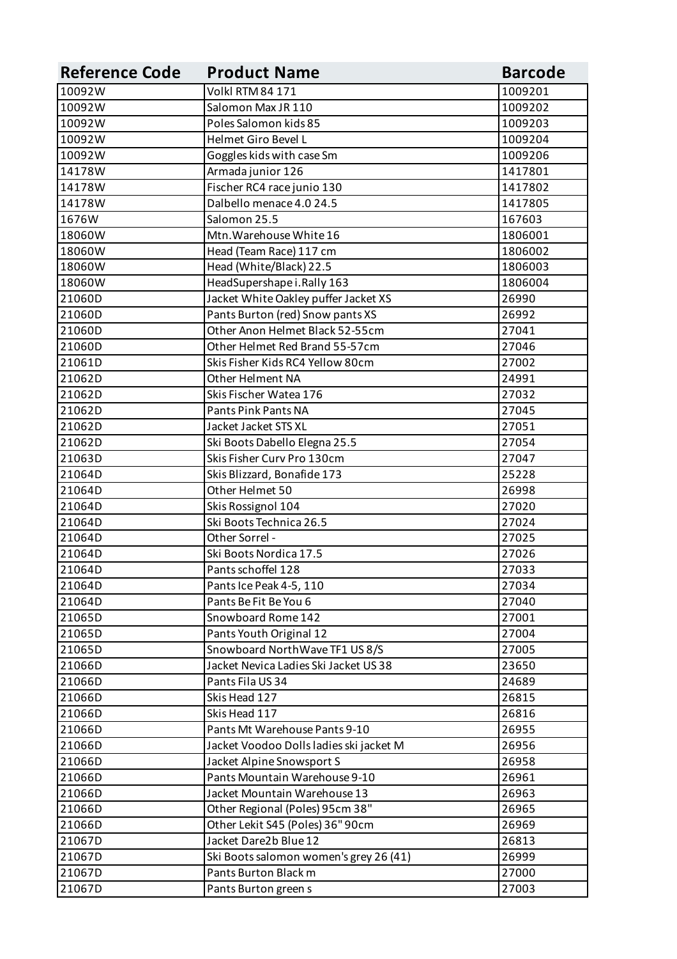| <b>Reference Code</b> | <b>Product Name</b>                     | <b>Barcode</b> |
|-----------------------|-----------------------------------------|----------------|
| 10092W                | <b>Volkl RTM 84 171</b>                 | 1009201        |
| 10092W                | Salomon Max JR 110                      | 1009202        |
| 10092W                | Poles Salomon kids 85                   | 1009203        |
| 10092W                | Helmet Giro Bevel L                     | 1009204        |
| 10092W                | Goggles kids with case Sm               | 1009206        |
| 14178W                | Armada junior 126                       | 1417801        |
| 14178W                | Fischer RC4 race junio 130              | 1417802        |
| 14178W                | Dalbello menace 4.0 24.5                | 1417805        |
| 1676W                 | Salomon 25.5                            | 167603         |
| 18060W                | Mtn. Warehouse White 16                 | 1806001        |
| 18060W                | Head (Team Race) 117 cm                 | 1806002        |
| 18060W                | Head (White/Black) 22.5                 | 1806003        |
| 18060W                | HeadSupershape i.Rally 163              | 1806004        |
| 21060D                | Jacket White Oakley puffer Jacket XS    | 26990          |
| 21060D                | Pants Burton (red) Snow pants XS        | 26992          |
| 21060D                | Other Anon Helmet Black 52-55cm         | 27041          |
| 21060D                | Other Helmet Red Brand 55-57cm          | 27046          |
| 21061D                | Skis Fisher Kids RC4 Yellow 80cm        | 27002          |
| 21062D                | Other Helment NA                        | 24991          |
| 21062D                | Skis Fischer Watea 176                  | 27032          |
| 21062D                | Pants Pink Pants NA                     | 27045          |
| 21062D                | Jacket Jacket STS XL                    | 27051          |
| 21062D                | Ski Boots Dabello Elegna 25.5           | 27054          |
| 21063D                | Skis Fisher Curv Pro 130cm              | 27047          |
| 21064D                | Skis Blizzard, Bonafide 173             | 25228          |
| 21064D                | Other Helmet 50                         | 26998          |
| 21064D                | Skis Rossignol 104                      | 27020          |
| 21064D                | Ski Boots Technica 26.5                 | 27024          |
| 21064D                | Other Sorrel -                          | 27025          |
| 21064D                | Ski Boots Nordica 17.5                  | 27026          |
| 21064D                | Pants schoffel 128                      | 27033          |
| 21064D                | Pants Ice Peak 4-5, 110                 | 27034          |
| 21064D                | Pants Be Fit Be You 6                   | 27040          |
| 21065D                | Snowboard Rome 142                      | 27001          |
| 21065D                | Pants Youth Original 12                 | 27004          |
| 21065D                | Snowboard NorthWave TF1 US 8/S          | 27005          |
| 21066D                | Jacket Nevica Ladies Ski Jacket US 38   | 23650          |
| 21066D                | Pants Fila US 34                        | 24689          |
| 21066D                | Skis Head 127                           | 26815          |
| 21066D                | Skis Head 117                           | 26816          |
| 21066D                | Pants Mt Warehouse Pants 9-10           | 26955          |
| 21066D                | Jacket Voodoo Dolls ladies ski jacket M | 26956          |
| 21066D                | Jacket Alpine Snowsport S               | 26958          |
| 21066D                | Pants Mountain Warehouse 9-10           | 26961          |
| 21066D                | Jacket Mountain Warehouse 13            | 26963          |
| 21066D                | Other Regional (Poles) 95cm 38"         | 26965          |
| 21066D                | Other Lekit S45 (Poles) 36" 90cm        | 26969          |
| 21067D                | Jacket Dare2b Blue 12                   | 26813          |
| 21067D                | Ski Boots salomon women's grey 26 (41)  | 26999          |
| 21067D                | Pants Burton Black m                    | 27000          |
| 21067D                | Pants Burton green s                    | 27003          |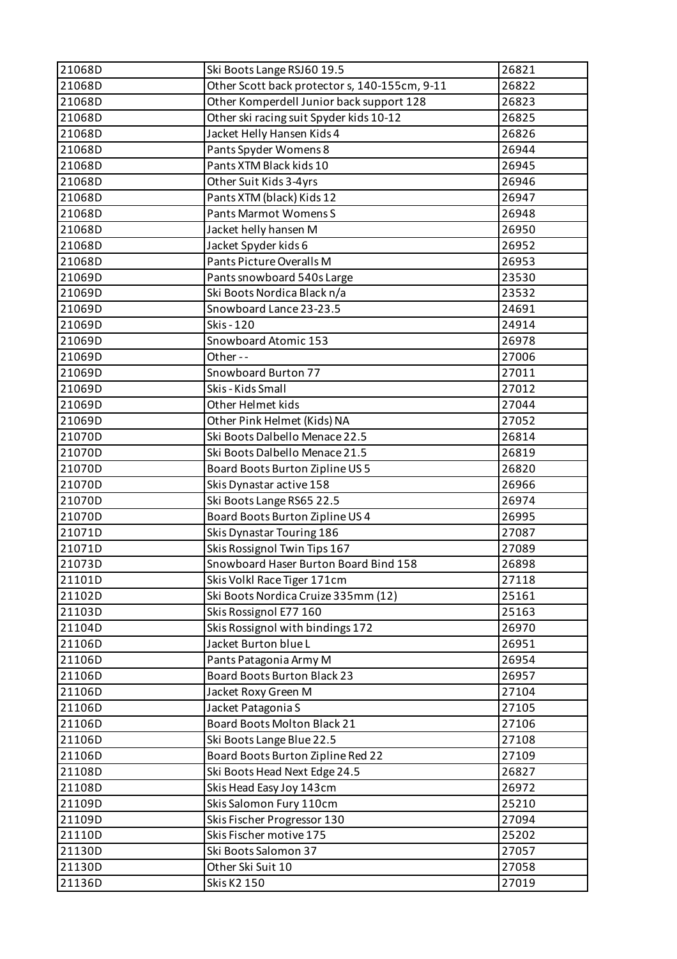| 21068D | Ski Boots Lange RSJ60 19.5                    | 26821 |
|--------|-----------------------------------------------|-------|
| 21068D | Other Scott back protector s, 140-155cm, 9-11 | 26822 |
| 21068D | Other Komperdell Junior back support 128      | 26823 |
| 21068D | Other ski racing suit Spyder kids 10-12       | 26825 |
| 21068D | Jacket Helly Hansen Kids 4                    | 26826 |
| 21068D | Pants Spyder Womens 8                         | 26944 |
| 21068D | Pants XTM Black kids 10                       | 26945 |
| 21068D | Other Suit Kids 3-4yrs                        | 26946 |
| 21068D | Pants XTM (black) Kids 12                     | 26947 |
| 21068D | <b>Pants Marmot Womens S</b>                  | 26948 |
| 21068D | Jacket helly hansen M                         | 26950 |
| 21068D | Jacket Spyder kids 6                          | 26952 |
| 21068D | Pants Picture Overalls M                      | 26953 |
| 21069D | Pants snowboard 540s Large                    | 23530 |
| 21069D | Ski Boots Nordica Black n/a                   | 23532 |
| 21069D | Snowboard Lance 23-23.5                       | 24691 |
| 21069D | Skis - 120                                    | 24914 |
| 21069D | Snowboard Atomic 153                          | 26978 |
| 21069D | Other--                                       | 27006 |
| 21069D | Snowboard Burton 77                           | 27011 |
| 21069D | Skis - Kids Small                             | 27012 |
| 21069D | Other Helmet kids                             | 27044 |
| 21069D | Other Pink Helmet (Kids) NA                   | 27052 |
| 21070D | Ski Boots Dalbello Menace 22.5                | 26814 |
| 21070D | Ski Boots Dalbello Menace 21.5                | 26819 |
| 21070D | Board Boots Burton Zipline US 5               | 26820 |
| 21070D | Skis Dynastar active 158                      | 26966 |
| 21070D | Ski Boots Lange RS65 22.5                     | 26974 |
| 21070D | Board Boots Burton Zipline US 4               | 26995 |
| 21071D | Skis Dynastar Touring 186                     | 27087 |
| 21071D | Skis Rossignol Twin Tips 167                  | 27089 |
| 21073D | Snowboard Haser Burton Board Bind 158         | 26898 |
| 21101D | Skis Volkl Race Tiger 171cm                   | 27118 |
| 21102D | Ski Boots Nordica Cruize 335mm (12)           | 25161 |
| 21103D | Skis Rossignol E77 160                        | 25163 |
| 21104D | Skis Rossignol with bindings 172              | 26970 |
| 21106D | Jacket Burton blue L                          | 26951 |
| 21106D | Pants Patagonia Army M                        | 26954 |
| 21106D | Board Boots Burton Black 23                   | 26957 |
| 21106D | Jacket Roxy Green M                           | 27104 |
| 21106D | Jacket Patagonia S                            | 27105 |
| 21106D | Board Boots Molton Black 21                   | 27106 |
| 21106D | Ski Boots Lange Blue 22.5                     | 27108 |
| 21106D | Board Boots Burton Zipline Red 22             | 27109 |
| 21108D | Ski Boots Head Next Edge 24.5                 | 26827 |
| 21108D | Skis Head Easy Joy 143cm                      | 26972 |
| 21109D | Skis Salomon Fury 110cm                       | 25210 |
| 21109D | Skis Fischer Progressor 130                   | 27094 |
| 21110D | Skis Fischer motive 175                       | 25202 |
| 21130D | Ski Boots Salomon 37                          | 27057 |
| 21130D | Other Ski Suit 10                             | 27058 |
| 21136D | Skis K2 150                                   | 27019 |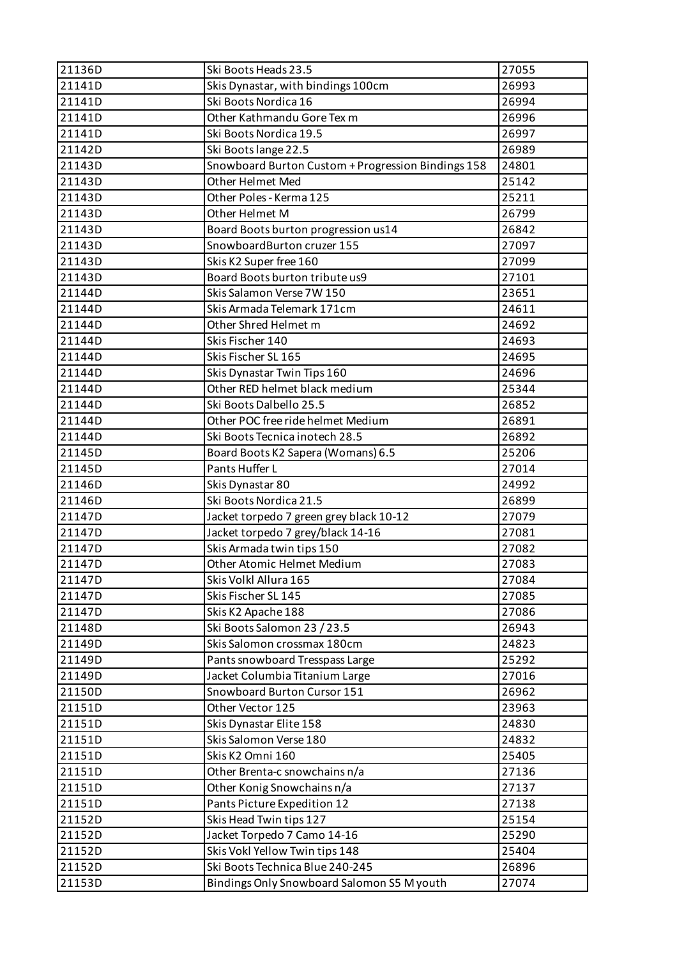| 21136D | Ski Boots Heads 23.5                               | 27055 |
|--------|----------------------------------------------------|-------|
| 21141D | Skis Dynastar, with bindings 100cm                 | 26993 |
| 21141D | Ski Boots Nordica 16                               | 26994 |
| 21141D | Other Kathmandu Gore Tex m                         | 26996 |
| 21141D | Ski Boots Nordica 19.5                             | 26997 |
| 21142D | Ski Boots lange 22.5                               | 26989 |
| 21143D | Snowboard Burton Custom + Progression Bindings 158 | 24801 |
| 21143D | Other Helmet Med                                   | 25142 |
| 21143D | Other Poles - Kerma 125                            | 25211 |
| 21143D | Other Helmet M                                     | 26799 |
| 21143D | Board Boots burton progression us14                | 26842 |
| 21143D | SnowboardBurton cruzer 155                         | 27097 |
| 21143D | Skis K2 Super free 160                             | 27099 |
| 21143D | Board Boots burton tribute us9                     | 27101 |
| 21144D | Skis Salamon Verse 7W 150                          | 23651 |
| 21144D | Skis Armada Telemark 171cm                         | 24611 |
| 21144D | Other Shred Helmet m                               | 24692 |
| 21144D | Skis Fischer 140                                   | 24693 |
| 21144D | Skis Fischer SL 165                                | 24695 |
| 21144D | Skis Dynastar Twin Tips 160                        | 24696 |
| 21144D | Other RED helmet black medium                      | 25344 |
| 21144D | Ski Boots Dalbello 25.5                            | 26852 |
| 21144D | Other POC free ride helmet Medium                  | 26891 |
| 21144D | Ski Boots Tecnica inotech 28.5                     | 26892 |
| 21145D | Board Boots K2 Sapera (Womans) 6.5                 | 25206 |
| 21145D | Pants Huffer L                                     | 27014 |
| 21146D | Skis Dynastar 80                                   | 24992 |
| 21146D | Ski Boots Nordica 21.5                             | 26899 |
| 21147D | Jacket torpedo 7 green grey black 10-12            | 27079 |
| 21147D | Jacket torpedo 7 grey/black 14-16                  | 27081 |
| 21147D | Skis Armada twin tips 150                          | 27082 |
| 21147D | Other Atomic Helmet Medium                         | 27083 |
| 21147D | Skis Volkl Allura 165                              | 27084 |
| 21147D | Skis Fischer SL 145                                | 27085 |
| 21147D | Skis K2 Apache 188                                 | 27086 |
| 21148D | Ski Boots Salomon 23 / 23.5                        | 26943 |
| 21149D | Skis Salomon crossmax 180cm                        | 24823 |
| 21149D | Pants snowboard Tresspass Large                    | 25292 |
| 21149D | Jacket Columbia Titanium Large                     | 27016 |
| 21150D | Snowboard Burton Cursor 151                        | 26962 |
| 21151D | Other Vector 125                                   | 23963 |
| 21151D | Skis Dynastar Elite 158                            | 24830 |
| 21151D | Skis Salomon Verse 180                             | 24832 |
| 21151D | Skis K2 Omni 160                                   | 25405 |
| 21151D | Other Brenta-c snowchains n/a                      | 27136 |
| 21151D | Other Konig Snowchains n/a                         | 27137 |
| 21151D | Pants Picture Expedition 12                        | 27138 |
| 21152D | Skis Head Twin tips 127                            | 25154 |
| 21152D | Jacket Torpedo 7 Camo 14-16                        | 25290 |
| 21152D | Skis Vokl Yellow Twin tips 148                     | 25404 |
| 21152D | Ski Boots Technica Blue 240-245                    | 26896 |
| 21153D | Bindings Only Snowboard Salomon S5 M youth         | 27074 |
|        |                                                    |       |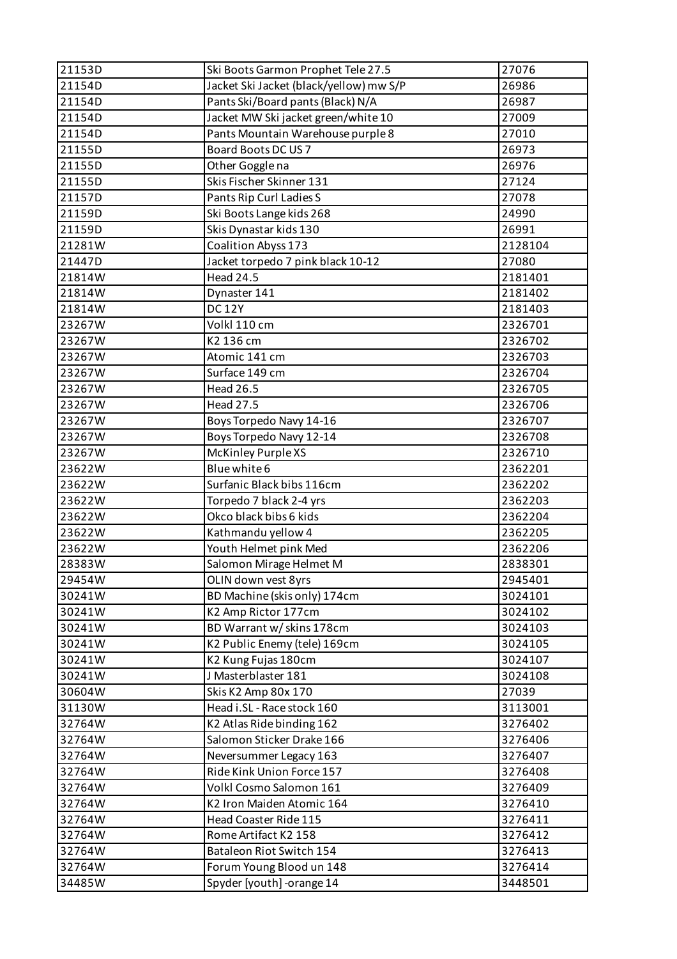| 21153D | Ski Boots Garmon Prophet Tele 27.5      | 27076   |
|--------|-----------------------------------------|---------|
| 21154D | Jacket Ski Jacket (black/yellow) mw S/P | 26986   |
| 21154D | Pants Ski/Board pants (Black) N/A       | 26987   |
| 21154D | Jacket MW Ski jacket green/white 10     | 27009   |
| 21154D | Pants Mountain Warehouse purple 8       | 27010   |
| 21155D | Board Boots DC US 7                     | 26973   |
| 21155D | Other Goggle na                         | 26976   |
| 21155D | Skis Fischer Skinner 131                | 27124   |
| 21157D | Pants Rip Curl Ladies S                 | 27078   |
| 21159D | Ski Boots Lange kids 268                | 24990   |
| 21159D | Skis Dynastar kids 130                  | 26991   |
| 21281W | Coalition Abyss 173                     | 2128104 |
| 21447D | Jacket torpedo 7 pink black 10-12       | 27080   |
| 21814W | <b>Head 24.5</b>                        | 2181401 |
| 21814W | Dynaster 141                            | 2181402 |
| 21814W | <b>DC12Y</b>                            | 2181403 |
| 23267W | Volkl 110 cm                            | 2326701 |
| 23267W | K2 136 cm                               | 2326702 |
| 23267W | Atomic 141 cm                           | 2326703 |
| 23267W | Surface 149 cm                          | 2326704 |
| 23267W | <b>Head 26.5</b>                        | 2326705 |
| 23267W | <b>Head 27.5</b>                        | 2326706 |
| 23267W | Boys Torpedo Navy 14-16                 | 2326707 |
| 23267W | Boys Torpedo Navy 12-14                 | 2326708 |
| 23267W | McKinley Purple XS                      | 2326710 |
| 23622W | Blue white 6                            | 2362201 |
| 23622W | Surfanic Black bibs 116cm               | 2362202 |
| 23622W | Torpedo 7 black 2-4 yrs                 | 2362203 |
| 23622W | Okco black bibs 6 kids                  | 2362204 |
| 23622W | Kathmandu yellow 4                      | 2362205 |
| 23622W | Youth Helmet pink Med                   | 2362206 |
| 28383W | Salomon Mirage Helmet M                 | 2838301 |
| 29454W | OLIN down vest 8yrs                     | 2945401 |
| 30241W | BD Machine (skis only) 174cm            | 3024101 |
| 30241W | K2 Amp Rictor 177cm                     | 3024102 |
| 30241W | BD Warrant w/ skins 178cm               | 3024103 |
| 30241W | K2 Public Enemy (tele) 169cm            | 3024105 |
| 30241W | K2 Kung Fujas 180cm                     | 3024107 |
| 30241W | J Masterblaster 181                     | 3024108 |
| 30604W | Skis K2 Amp 80x 170                     | 27039   |
| 31130W | Head i.SL - Race stock 160              | 3113001 |
| 32764W | K2 Atlas Ride binding 162               | 3276402 |
| 32764W | Salomon Sticker Drake 166               | 3276406 |
| 32764W | Neversummer Legacy 163                  | 3276407 |
| 32764W | Ride Kink Union Force 157               | 3276408 |
| 32764W | Volkl Cosmo Salomon 161                 | 3276409 |
| 32764W | K2 Iron Maiden Atomic 164               | 3276410 |
| 32764W | Head Coaster Ride 115                   | 3276411 |
| 32764W | Rome Artifact K2 158                    | 3276412 |
| 32764W | Bataleon Riot Switch 154                | 3276413 |
| 32764W | Forum Young Blood un 148                | 3276414 |
| 34485W | Spyder [youth] -orange 14               | 3448501 |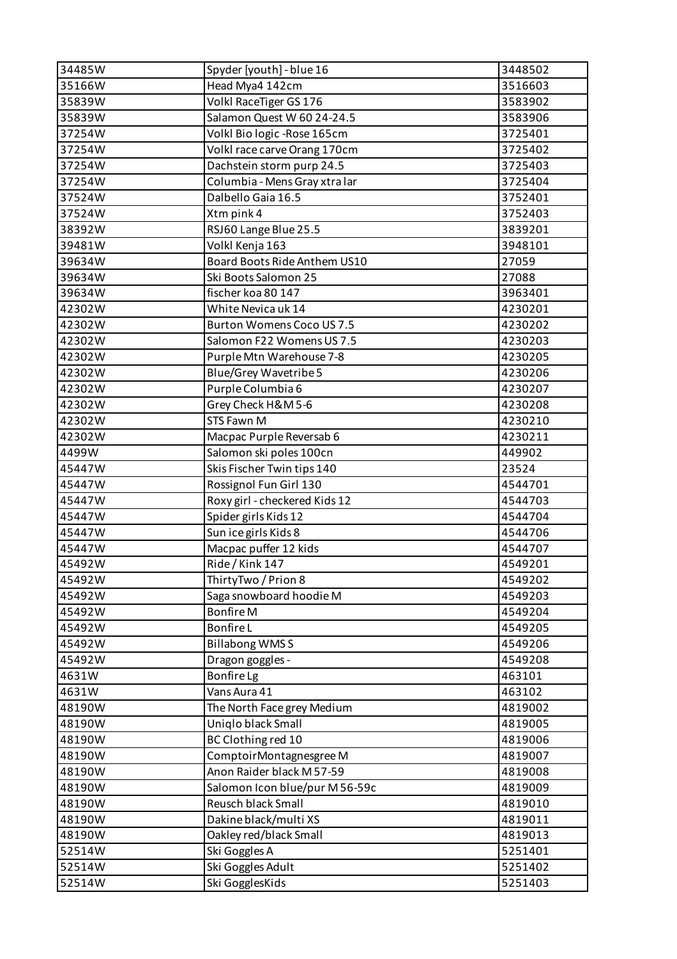| 34485W | Spyder [youth] - blue 16       | 3448502 |
|--------|--------------------------------|---------|
| 35166W | Head Mya4 142cm                | 3516603 |
| 35839W | Volkl RaceTiger GS 176         | 3583902 |
| 35839W | Salamon Quest W 60 24-24.5     | 3583906 |
| 37254W | Volkl Bio logic -Rose 165cm    | 3725401 |
| 37254W | Volkl race carve Orang 170cm   | 3725402 |
| 37254W | Dachstein storm purp 24.5      | 3725403 |
| 37254W | Columbia - Mens Gray xtra lar  | 3725404 |
| 37524W | Dalbello Gaia 16.5             | 3752401 |
| 37524W | Xtm pink 4                     | 3752403 |
| 38392W | RSJ60 Lange Blue 25.5          | 3839201 |
| 39481W | Volkl Kenja 163                | 3948101 |
| 39634W | Board Boots Ride Anthem US10   | 27059   |
| 39634W | Ski Boots Salomon 25           | 27088   |
| 39634W | fischer koa 80 147             | 3963401 |
| 42302W | White Nevica uk 14             | 4230201 |
| 42302W | Burton Womens Coco US 7.5      | 4230202 |
| 42302W | Salomon F22 Womens US 7.5      | 4230203 |
| 42302W | Purple Mtn Warehouse 7-8       | 4230205 |
| 42302W | Blue/Grey Wavetribe 5          | 4230206 |
| 42302W | Purple Columbia 6              | 4230207 |
| 42302W | Grey Check H&M 5-6             | 4230208 |
| 42302W | STS Fawn M                     | 4230210 |
| 42302W | Macpac Purple Reversab 6       | 4230211 |
| 4499W  | Salomon ski poles 100cn        | 449902  |
| 45447W | Skis Fischer Twin tips 140     | 23524   |
| 45447W | Rossignol Fun Girl 130         | 4544701 |
| 45447W | Roxy girl - checkered Kids 12  | 4544703 |
| 45447W | Spider girls Kids 12           | 4544704 |
| 45447W | Sun ice girls Kids 8           | 4544706 |
| 45447W | Macpac puffer 12 kids          | 4544707 |
| 45492W | Ride / Kink 147                | 4549201 |
| 45492W | ThirtyTwo / Prion 8            | 4549202 |
| 45492W | Saga snowboard hoodie M        | 4549203 |
| 45492W | <b>Bonfire M</b>               | 4549204 |
| 45492W | <b>Bonfire L</b>               | 4549205 |
| 45492W | <b>Billabong WMSS</b>          | 4549206 |
| 45492W | Dragon goggles -               | 4549208 |
| 4631W  | Bonfire Lg                     | 463101  |
| 4631W  | Vans Aura 41                   | 463102  |
| 48190W | The North Face grey Medium     | 4819002 |
| 48190W | Uniqlo black Small             | 4819005 |
| 48190W | BC Clothing red 10             | 4819006 |
| 48190W | ComptoirMontagnesgree M        | 4819007 |
| 48190W | Anon Raider black M 57-59      | 4819008 |
| 48190W | Salomon Icon blue/pur M 56-59c | 4819009 |
| 48190W | Reusch black Small             | 4819010 |
| 48190W | Dakine black/multi XS          | 4819011 |
| 48190W | Oakley red/black Small         | 4819013 |
| 52514W | Ski Goggles A                  | 5251401 |
| 52514W | Ski Goggles Adult              | 5251402 |
| 52514W | Ski GogglesKids                | 5251403 |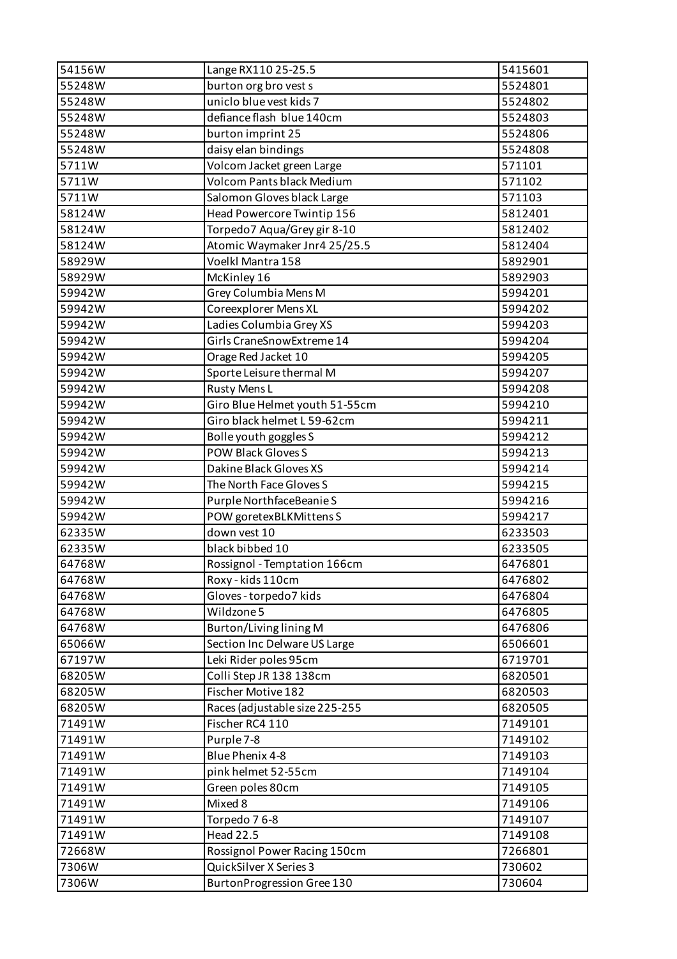| 54156W | Lange RX110 25-25.5            | 5415601 |
|--------|--------------------------------|---------|
| 55248W | burton org bro vest s          | 5524801 |
| 55248W | uniclo blue vest kids 7        | 5524802 |
| 55248W | defiance flash blue 140cm      | 5524803 |
| 55248W | burton imprint 25              | 5524806 |
| 55248W | daisy elan bindings            | 5524808 |
| 5711W  | Volcom Jacket green Large      | 571101  |
| 5711W  | Volcom Pants black Medium      | 571102  |
| 5711W  | Salomon Gloves black Large     | 571103  |
| 58124W | Head Powercore Twintip 156     | 5812401 |
| 58124W | Torpedo7 Aqua/Grey gir 8-10    | 5812402 |
| 58124W | Atomic Waymaker Jnr4 25/25.5   | 5812404 |
| 58929W | Voelkl Mantra 158              | 5892901 |
| 58929W | McKinley 16                    | 5892903 |
| 59942W | Grey Columbia Mens M           | 5994201 |
| 59942W | Coreexplorer Mens XL           | 5994202 |
| 59942W | Ladies Columbia Grey XS        | 5994203 |
| 59942W | Girls CraneSnowExtreme 14      | 5994204 |
| 59942W | Orage Red Jacket 10            | 5994205 |
| 59942W | Sporte Leisure thermal M       | 5994207 |
| 59942W | Rusty Mens L                   | 5994208 |
| 59942W | Giro Blue Helmet youth 51-55cm | 5994210 |
| 59942W | Giro black helmet L 59-62cm    | 5994211 |
| 59942W | Bolle youth goggles S          | 5994212 |
| 59942W | <b>POW Black Gloves S</b>      | 5994213 |
| 59942W | Dakine Black Gloves XS         | 5994214 |
| 59942W | The North Face Gloves S        | 5994215 |
| 59942W | Purple NorthfaceBeanie S       | 5994216 |
| 59942W | POW goretexBLKMittens S        | 5994217 |
| 62335W | down vest 10                   | 6233503 |
| 62335W | black bibbed 10                | 6233505 |
| 64768W | Rossignol - Temptation 166cm   | 6476801 |
| 64768W | Roxy - kids 110cm              | 6476802 |
| 64768W | Gloves-torpedo7 kids           | 6476804 |
| 64768W | Wildzone 5                     | 6476805 |
| 64768W | Burton/Living lining M         | 6476806 |
| 65066W | Section Inc Delware US Large   | 6506601 |
| 67197W | Leki Rider poles 95cm          | 6719701 |
| 68205W | Colli Step JR 138 138cm        | 6820501 |
| 68205W | Fischer Motive 182             | 6820503 |
| 68205W | Races (adjustable size 225-255 | 6820505 |
| 71491W | Fischer RC4 110                | 7149101 |
| 71491W | Purple 7-8                     | 7149102 |
| 71491W | Blue Phenix 4-8                | 7149103 |
| 71491W | pink helmet 52-55cm            | 7149104 |
| 71491W | Green poles 80cm               | 7149105 |
| 71491W | Mixed 8                        | 7149106 |
| 71491W | Torpedo 76-8                   | 7149107 |
| 71491W | <b>Head 22.5</b>               | 7149108 |
| 72668W | Rossignol Power Racing 150cm   | 7266801 |
| 7306W  | QuickSilver X Series 3         | 730602  |
| 7306W  | BurtonProgression Gree 130     | 730604  |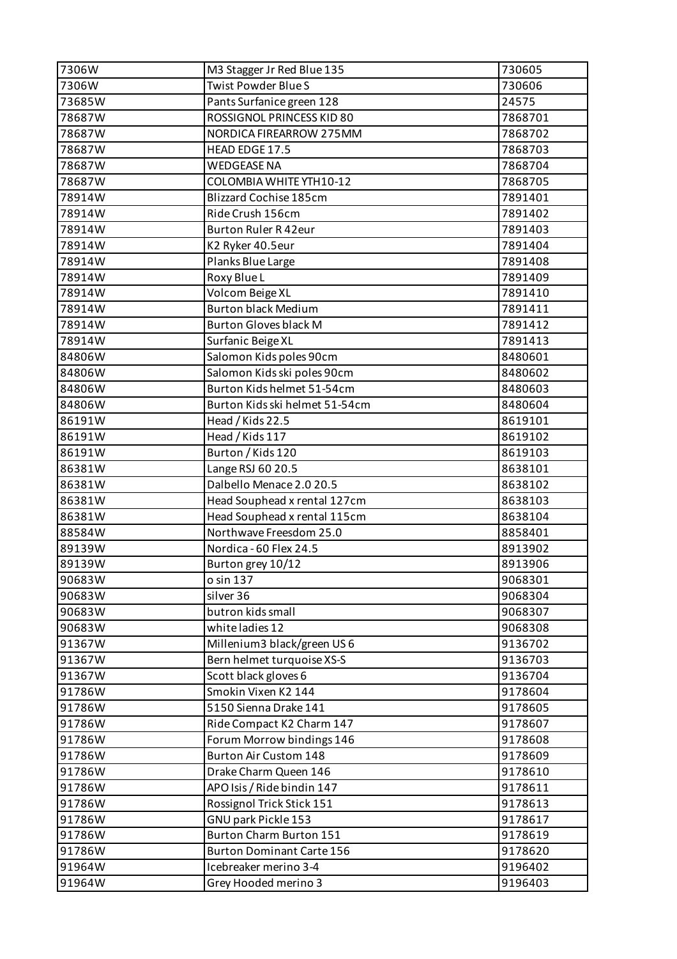| 7306W  | M3 Stagger Jr Red Blue 135       | 730605  |
|--------|----------------------------------|---------|
| 7306W  | <b>Twist Powder Blue S</b>       | 730606  |
| 73685W | Pants Surfanice green 128        | 24575   |
| 78687W | ROSSIGNOL PRINCESS KID 80        | 7868701 |
| 78687W | NORDICA FIREARROW 275MM          | 7868702 |
| 78687W | HEAD EDGE 17.5                   | 7868703 |
| 78687W | <b>WEDGEASE NA</b>               | 7868704 |
| 78687W | COLOMBIA WHITE YTH10-12          | 7868705 |
| 78914W | <b>Blizzard Cochise 185cm</b>    | 7891401 |
| 78914W | Ride Crush 156cm                 | 7891402 |
| 78914W | Burton Ruler R 42eur             | 7891403 |
| 78914W | K2 Ryker 40.5eur                 | 7891404 |
| 78914W | Planks Blue Large                | 7891408 |
| 78914W | Roxy Blue L                      | 7891409 |
| 78914W | Volcom Beige XL                  | 7891410 |
| 78914W | <b>Burton black Medium</b>       | 7891411 |
| 78914W | <b>Burton Gloves black M</b>     | 7891412 |
| 78914W | Surfanic Beige XL                | 7891413 |
| 84806W | Salomon Kids poles 90cm          | 8480601 |
| 84806W | Salomon Kids ski poles 90cm      | 8480602 |
| 84806W | Burton Kids helmet 51-54cm       | 8480603 |
| 84806W | Burton Kids ski helmet 51-54cm   | 8480604 |
| 86191W | Head / Kids 22.5                 | 8619101 |
| 86191W | Head / Kids 117                  | 8619102 |
| 86191W | Burton / Kids 120                | 8619103 |
| 86381W | Lange RSJ 60 20.5                | 8638101 |
| 86381W | Dalbello Menace 2.0 20.5         | 8638102 |
| 86381W | Head Souphead x rental 127cm     | 8638103 |
| 86381W | Head Souphead x rental 115cm     | 8638104 |
| 88584W | Northwave Freesdom 25.0          | 8858401 |
| 89139W | Nordica - 60 Flex 24.5           | 8913902 |
| 89139W | Burton grey 10/12                | 8913906 |
| 90683W | o sin 137                        | 9068301 |
| 90683W | silver 36                        | 9068304 |
| 90683W | butron kids small                | 9068307 |
| 90683W | white ladies 12                  | 9068308 |
| 91367W | Millenium3 black/green US6       | 9136702 |
| 91367W | Bern helmet turquoise XS-S       | 9136703 |
| 91367W | Scott black gloves 6             | 9136704 |
| 91786W | Smokin Vixen K2 144              | 9178604 |
| 91786W | 5150 Sienna Drake 141            | 9178605 |
| 91786W | Ride Compact K2 Charm 147        | 9178607 |
| 91786W | Forum Morrow bindings 146        | 9178608 |
| 91786W | <b>Burton Air Custom 148</b>     | 9178609 |
| 91786W | Drake Charm Queen 146            | 9178610 |
| 91786W | APO Isis / Ride bindin 147       | 9178611 |
| 91786W | Rossignol Trick Stick 151        | 9178613 |
| 91786W | GNU park Pickle 153              | 9178617 |
| 91786W | Burton Charm Burton 151          | 9178619 |
| 91786W | <b>Burton Dominant Carte 156</b> | 9178620 |
| 91964W | Icebreaker merino 3-4            | 9196402 |
| 91964W | Grey Hooded merino 3             | 9196403 |